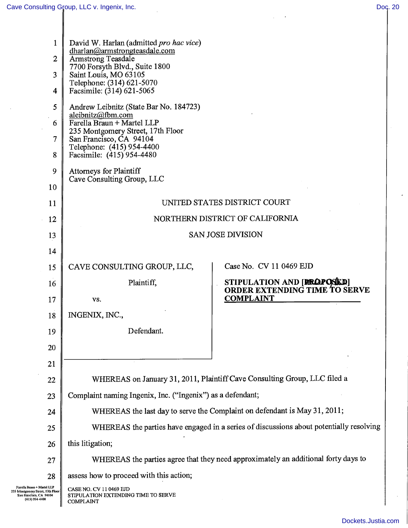$\bar{z}$ 

 $\overline{\phantom{a}}$ 

 $\ddot{\phantom{0}}$ 

| $\mathbf{1}$<br>$\overline{2}$<br>3<br>$\overline{\mathbf{4}}$ | David W. Harlan (admitted pro hac vice)<br>dharlan@armstrongteasdale.com<br><b>Armstrong Teasdale</b><br>7700 Forsyth Blvd., Suite 1800<br>Saint Louis, MO 63105<br>Telephone: (314) 621-5070<br>Facsimile: (314) 621-5065 |                                                                                         |
|----------------------------------------------------------------|----------------------------------------------------------------------------------------------------------------------------------------------------------------------------------------------------------------------------|-----------------------------------------------------------------------------------------|
| 5<br>6<br>$\overline{7}$<br>8                                  | Andrew Leibnitz (State Bar No. 184723)<br>aleibnitz@fbm.com<br>Farella Braun + Martel LLP<br>235 Montgomery Street, 17th Floor<br>San Francisco, CA 94104<br>Telephone: (415) 954-4400<br>Facsimile: (415) 954-4480        |                                                                                         |
| 9                                                              | <b>Attorneys for Plaintiff</b><br>Cave Consulting Group, LLC                                                                                                                                                               |                                                                                         |
| 10                                                             |                                                                                                                                                                                                                            |                                                                                         |
| 11                                                             | UNITED STATES DISTRICT COURT                                                                                                                                                                                               |                                                                                         |
| 12                                                             | NORTHERN DISTRICT OF CALIFORNIA                                                                                                                                                                                            |                                                                                         |
| 13                                                             | <b>SAN JOSE DIVISION</b>                                                                                                                                                                                                   |                                                                                         |
| 14                                                             |                                                                                                                                                                                                                            | Case No. CV 11 0469 EJD                                                                 |
| 15                                                             | CAVE CONSULTING GROUP, LLC,                                                                                                                                                                                                | STIPULATION AND [BROPOSICD]                                                             |
| 16                                                             | Plaintiff,<br>VS.                                                                                                                                                                                                          | ORDER EXTENDING TIME TO SERVE<br><b>COMPLAINT</b>                                       |
|                                                                |                                                                                                                                                                                                                            |                                                                                         |
| 17                                                             |                                                                                                                                                                                                                            |                                                                                         |
| 18                                                             | INGENIX, INC.,                                                                                                                                                                                                             |                                                                                         |
| 19                                                             | Defendant.                                                                                                                                                                                                                 |                                                                                         |
| 20                                                             |                                                                                                                                                                                                                            |                                                                                         |
| 21                                                             |                                                                                                                                                                                                                            |                                                                                         |
| 22                                                             | Complaint naming Ingenix, Inc. ("Ingenix") as a defendant;                                                                                                                                                                 | WHEREAS on January 31, 2011, Plaintiff Cave Consulting Group, LLC filed a               |
| 23<br>24                                                       |                                                                                                                                                                                                                            | WHEREAS the last day to serve the Complaint on defendant is May 31, 2011;               |
| 25                                                             |                                                                                                                                                                                                                            | WHEREAS the parties have engaged in a series of discussions about potentially resolving |
| 26                                                             | this litigation;                                                                                                                                                                                                           |                                                                                         |
| 27                                                             |                                                                                                                                                                                                                            | WHEREAS the parties agree that they need approximately an additional forty days to      |
| 28                                                             | assess how to proceed with this action;                                                                                                                                                                                    |                                                                                         |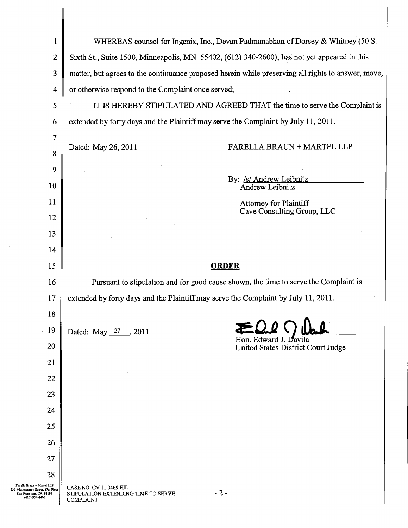| $\mathbf{1}$                                                        |                                                                                                    | WHEREAS counsel for Ingenix, Inc., Devan Padmanabhan of Dorsey & Whitney (50 S.      |
|---------------------------------------------------------------------|----------------------------------------------------------------------------------------------------|--------------------------------------------------------------------------------------|
| $\boldsymbol{2}$                                                    | Sixth St., Suite 1500, Minneapolis, MN 55402, (612) 340-2600), has not yet appeared in this        |                                                                                      |
| 3                                                                   | matter, but agrees to the continuance proposed herein while preserving all rights to answer, move, |                                                                                      |
| 4                                                                   | or otherwise respond to the Complaint once served;                                                 |                                                                                      |
| 5                                                                   | IT IS HEREBY STIPULATED AND AGREED THAT the time to serve the Complaint is                         |                                                                                      |
| 6                                                                   | extended by forty days and the Plaintiff may serve the Complaint by July 11, 2011.                 |                                                                                      |
| 7                                                                   |                                                                                                    |                                                                                      |
| 8                                                                   | Dated: May 26, 2011                                                                                | FARELLA BRAUN + MARTEL LLP                                                           |
| 9                                                                   |                                                                                                    |                                                                                      |
| 10                                                                  |                                                                                                    | By: /s/ Andrew Leibnitz<br>Andrew Leibnitz                                           |
| 11                                                                  |                                                                                                    | <b>Attorney for Plaintiff</b><br>Cave Consulting Group, LLC                          |
| 12                                                                  |                                                                                                    |                                                                                      |
| 13                                                                  |                                                                                                    |                                                                                      |
| 14                                                                  |                                                                                                    |                                                                                      |
|                                                                     |                                                                                                    |                                                                                      |
| 15                                                                  |                                                                                                    | <b>ORDER</b>                                                                         |
| 16                                                                  |                                                                                                    | Pursuant to stipulation and for good cause shown, the time to serve the Complaint is |
| 17                                                                  | extended by forty days and the Plaintiff may serve the Complaint by July 11, 2011.                 |                                                                                      |
| 18                                                                  |                                                                                                    |                                                                                      |
| 19                                                                  | Dated: May 27, 2011                                                                                | Hon. Edward J. Davila                                                                |
| 20                                                                  |                                                                                                    | United States District Court Judge                                                   |
| 21                                                                  |                                                                                                    |                                                                                      |
| 22                                                                  |                                                                                                    |                                                                                      |
| 23                                                                  |                                                                                                    |                                                                                      |
| 24                                                                  |                                                                                                    |                                                                                      |
| 25                                                                  |                                                                                                    |                                                                                      |
| 26                                                                  |                                                                                                    |                                                                                      |
| 27                                                                  |                                                                                                    |                                                                                      |
| 28<br>Farella Braun + Martel LLP<br>5 Montgomery Street, 17th Floor | CASE NO. CV 11 0469 EJD                                                                            | $-2-$                                                                                |

 $\mathcal{A}^{\mathcal{A}}$ 

 $\ddot{\phantom{a}}$ 

 $\hat{\mathcal{L}}$